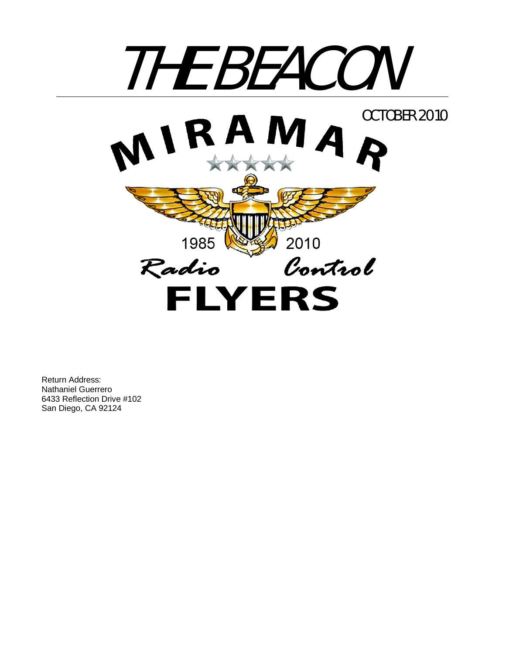

Return Address: Nathaniel Guerrero 6433 Reflection Drive #102 San Diego, CA 92124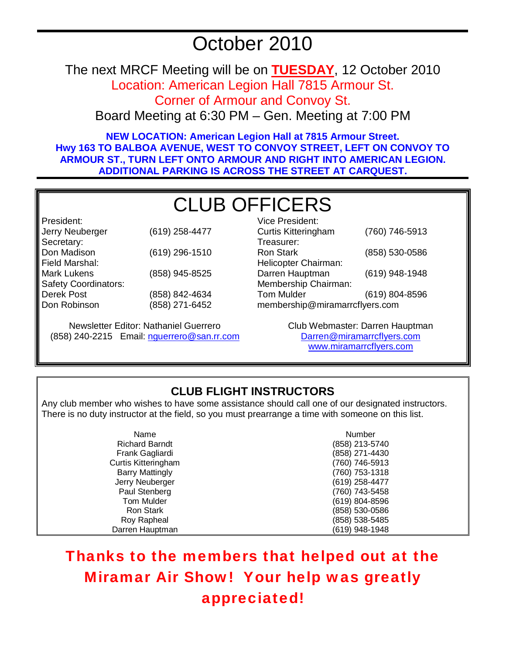# October 2010

The next MRCF Meeting will be on **TUESDAY**, 12 October 2010

Location: American Legion Hall 7815 Armour St.

Corner of Armour and Convoy St.

Board Meeting at 6:30 PM – Gen. Meeting at 7:00 PM

**NEW LOCATION: American Legion Hall at 7815 Armour Street. Hwy 163 TO BALBOA AVENUE, WEST TO CONVOY STREET, LEFT ON CONVOY TO ARMOUR ST., TURN LEFT ONTO ARMOUR AND RIGHT INTO AMERICAN LEGION. ADDITIONAL PARKING IS ACROSS THE STREET AT CARQUEST.** 

# CLUB OFFICERS

President: Jerry Neuberger (619) 258-4477 Secretary: Don Madison (619) 296-1510 Field Marshal: Mark Lukens (858) 945-8525 Safety Coordinators: Derek Post Don Robinson (858) 842-4634 (858) 271-6452

Newsletter Editor: Nathaniel Guerrero (858) 240-2215 Email: nguerrero@san.rr.com

| Vice President:                |                |  |
|--------------------------------|----------------|--|
| <b>Curtis Kitteringham</b>     | (760) 746-5913 |  |
| Treasurer:                     |                |  |
| <b>Ron Stark</b>               | (858) 530-0586 |  |
| Helicopter Chairman:           |                |  |
| Darren Hauptman                | (619) 948-1948 |  |
| Membership Chairman:           |                |  |
| <b>Tom Mulder</b>              | (619) 804-8596 |  |
| membership@miramarrcflyers.com |                |  |
|                                |                |  |

Club Webmaster: Darren Hauptman Darren@miramarrcflyers.com www.miramarrcflyers.com

# **CLUB FLIGHT INSTRUCTORS**

Any club member who wishes to have some assistance should call one of our designated instructors. There is no duty instructor at the field, so you must prearrange a time with someone on this list.

| Name                   | Number         |
|------------------------|----------------|
| <b>Richard Barndt</b>  | (858) 213-5740 |
| Frank Gagliardi        | (858) 271-4430 |
| Curtis Kitteringham    | (760) 746-5913 |
| <b>Barry Mattingly</b> | (760) 753-1318 |
| Jerry Neuberger        | (619) 258-4477 |
| Paul Stenberg          | (760) 743-5458 |
| Tom Mulder             | (619) 804-8596 |
| <b>Ron Stark</b>       | (858) 530-0586 |
| Roy Rapheal            | (858) 538-5485 |
| Darren Hauptman        | (619) 948-1948 |

Thanks to the members that helped out at the Miramar Air Show! Your help was greatly appreciated!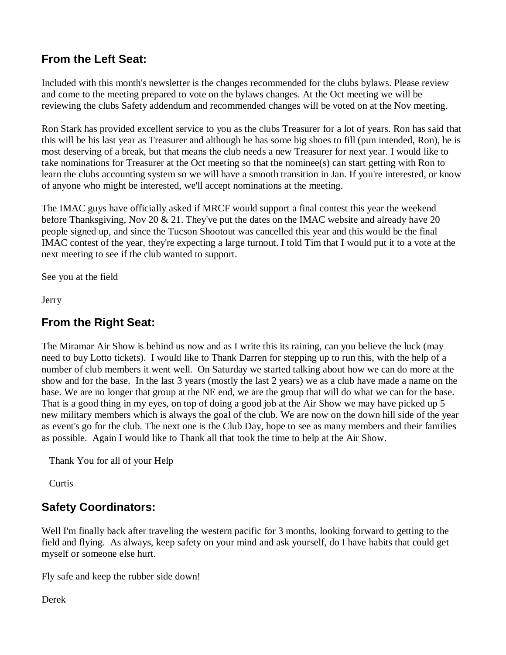# **From the Left Seat:**

Included with this month's newsletter is the changes recommended for the clubs bylaws. Please review and come to the meeting prepared to vote on the bylaws changes. At the Oct meeting we will be reviewing the clubs Safety addendum and recommended changes will be voted on at the Nov meeting.

Ron Stark has provided excellent service to you as the clubs Treasurer for a lot of years. Ron has said that this will be his last year as Treasurer and although he has some big shoes to fill (pun intended, Ron), he is most deserving of a break, but that means the club needs a new Treasurer for next year. I would like to take nominations for Treasurer at the Oct meeting so that the nominee(s) can start getting with Ron to learn the clubs accounting system so we will have a smooth transition in Jan. If you're interested, or know of anyone who might be interested, we'll accept nominations at the meeting.

The IMAC guys have officially asked if MRCF would support a final contest this year the weekend before Thanksgiving, Nov 20 & 21. They've put the dates on the IMAC website and already have 20 people signed up, and since the Tucson Shootout was cancelled this year and this would be the final IMAC contest of the year, they're expecting a large turnout. I told Tim that I would put it to a vote at the next meeting to see if the club wanted to support.

See you at the field

Jerry

# **From the Right Seat:**

The Miramar Air Show is behind us now and as I write this its raining, can you believe the luck (may need to buy Lotto tickets). I would like to Thank Darren for stepping up to run this, with the help of a number of club members it went well. On Saturday we started talking about how we can do more at the show and for the base. In the last 3 years (mostly the last 2 years) we as a club have made a name on the base. We are no longer that group at the NE end, we are the group that will do what we can for the base. That is a good thing in my eyes, on top of doing a good job at the Air Show we may have picked up 5 new military members which is always the goal of the club. We are now on the down hill side of the year as event's go for the club. The next one is the Club Day, hope to see as many members and their families as possible. Again I would like to Thank all that took the time to help at the Air Show.

Thank You for all of your Help

**Curtis** 

# **Safety Coordinators:**

Well I'm finally back after traveling the western pacific for 3 months, looking forward to getting to the field and flying. As always, keep safety on your mind and ask yourself, do I have habits that could get myself or someone else hurt.

Fly safe and keep the rubber side down!

Derek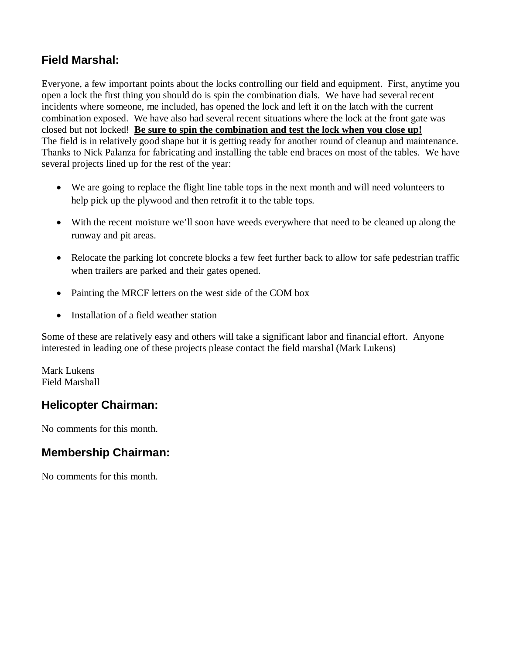# **Field Marshal:**

Everyone, a few important points about the locks controlling our field and equipment. First, anytime you open a lock the first thing you should do is spin the combination dials. We have had several recent incidents where someone, me included, has opened the lock and left it on the latch with the current combination exposed. We have also had several recent situations where the lock at the front gate was closed but not locked! **Be sure to spin the combination and test the lock when you close up!** The field is in relatively good shape but it is getting ready for another round of cleanup and maintenance. Thanks to Nick Palanza for fabricating and installing the table end braces on most of the tables. We have several projects lined up for the rest of the year:

- We are going to replace the flight line table tops in the next month and will need volunteers to help pick up the plywood and then retrofit it to the table tops.
- With the recent moisture we'll soon have weeds everywhere that need to be cleaned up along the runway and pit areas.
- Relocate the parking lot concrete blocks a few feet further back to allow for safe pedestrian traffic when trailers are parked and their gates opened.
- Painting the MRCF letters on the west side of the COM box
- Installation of a field weather station

Some of these are relatively easy and others will take a significant labor and financial effort. Anyone interested in leading one of these projects please contact the field marshal (Mark Lukens)

Mark Lukens Field Marshall

# **Helicopter Chairman:**

No comments for this month.

# **Membership Chairman:**

No comments for this month.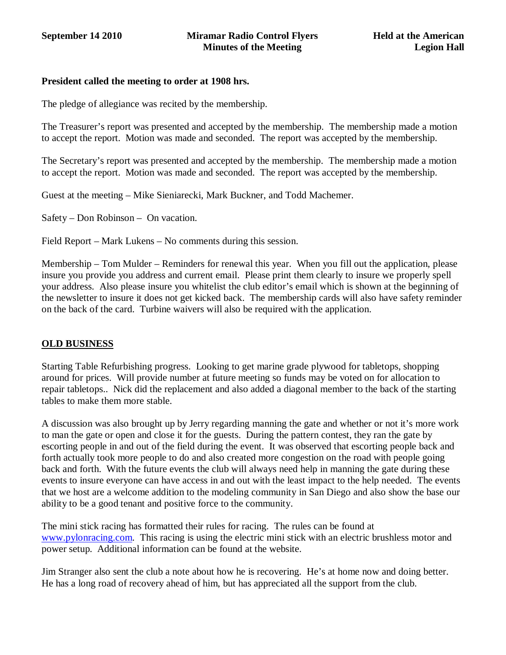## **President called the meeting to order at 1908 hrs.**

The pledge of allegiance was recited by the membership.

The Treasurer's report was presented and accepted by the membership. The membership made a motion to accept the report. Motion was made and seconded. The report was accepted by the membership.

The Secretary's report was presented and accepted by the membership. The membership made a motion to accept the report. Motion was made and seconded. The report was accepted by the membership.

Guest at the meeting – Mike Sieniarecki, Mark Buckner, and Todd Machemer.

Safety – Don Robinson – On vacation.

Field Report – Mark Lukens – No comments during this session.

Membership – Tom Mulder – Reminders for renewal this year. When you fill out the application, please insure you provide you address and current email. Please print them clearly to insure we properly spell your address. Also please insure you whitelist the club editor's email which is shown at the beginning of the newsletter to insure it does not get kicked back. The membership cards will also have safety reminder on the back of the card. Turbine waivers will also be required with the application.

## **OLD BUSINESS**

Starting Table Refurbishing progress. Looking to get marine grade plywood for tabletops, shopping around for prices. Will provide number at future meeting so funds may be voted on for allocation to repair tabletops.. Nick did the replacement and also added a diagonal member to the back of the starting tables to make them more stable.

A discussion was also brought up by Jerry regarding manning the gate and whether or not it's more work to man the gate or open and close it for the guests. During the pattern contest, they ran the gate by escorting people in and out of the field during the event. It was observed that escorting people back and forth actually took more people to do and also created more congestion on the road with people going back and forth. With the future events the club will always need help in manning the gate during these events to insure everyone can have access in and out with the least impact to the help needed. The events that we host are a welcome addition to the modeling community in San Diego and also show the base our ability to be a good tenant and positive force to the community.

The mini stick racing has formatted their rules for racing. The rules can be found at www.pylonracing.com. This racing is using the electric mini stick with an electric brushless motor and power setup. Additional information can be found at the website.

Jim Stranger also sent the club a note about how he is recovering. He's at home now and doing better. He has a long road of recovery ahead of him, but has appreciated all the support from the club.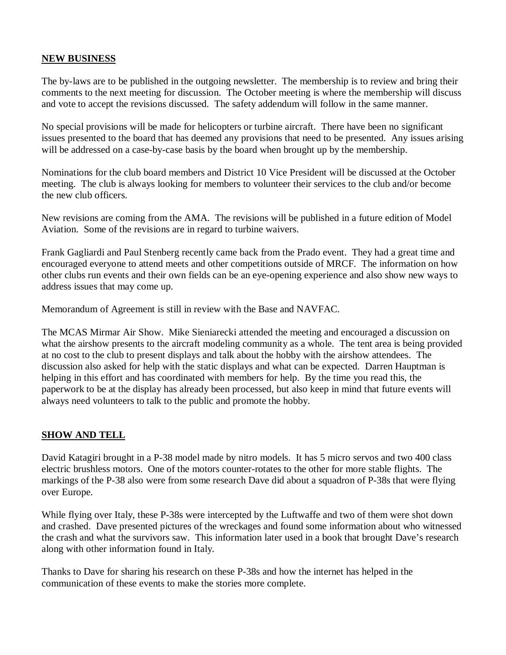## **NEW BUSINESS**

The by-laws are to be published in the outgoing newsletter. The membership is to review and bring their comments to the next meeting for discussion. The October meeting is where the membership will discuss and vote to accept the revisions discussed. The safety addendum will follow in the same manner.

No special provisions will be made for helicopters or turbine aircraft. There have been no significant issues presented to the board that has deemed any provisions that need to be presented. Any issues arising will be addressed on a case-by-case basis by the board when brought up by the membership.

Nominations for the club board members and District 10 Vice President will be discussed at the October meeting. The club is always looking for members to volunteer their services to the club and/or become the new club officers.

New revisions are coming from the AMA. The revisions will be published in a future edition of Model Aviation. Some of the revisions are in regard to turbine waivers.

Frank Gagliardi and Paul Stenberg recently came back from the Prado event. They had a great time and encouraged everyone to attend meets and other competitions outside of MRCF. The information on how other clubs run events and their own fields can be an eye-opening experience and also show new ways to address issues that may come up.

Memorandum of Agreement is still in review with the Base and NAVFAC.

The MCAS Mirmar Air Show. Mike Sieniarecki attended the meeting and encouraged a discussion on what the airshow presents to the aircraft modeling community as a whole. The tent area is being provided at no cost to the club to present displays and talk about the hobby with the airshow attendees. The discussion also asked for help with the static displays and what can be expected. Darren Hauptman is helping in this effort and has coordinated with members for help. By the time you read this, the paperwork to be at the display has already been processed, but also keep in mind that future events will always need volunteers to talk to the public and promote the hobby.

## **SHOW AND TELL**

David Katagiri brought in a P-38 model made by nitro models. It has 5 micro servos and two 400 class electric brushless motors. One of the motors counter-rotates to the other for more stable flights. The markings of the P-38 also were from some research Dave did about a squadron of P-38s that were flying over Europe.

While flying over Italy, these P-38s were intercepted by the Luftwaffe and two of them were shot down and crashed. Dave presented pictures of the wreckages and found some information about who witnessed the crash and what the survivors saw. This information later used in a book that brought Dave's research along with other information found in Italy.

Thanks to Dave for sharing his research on these P-38s and how the internet has helped in the communication of these events to make the stories more complete.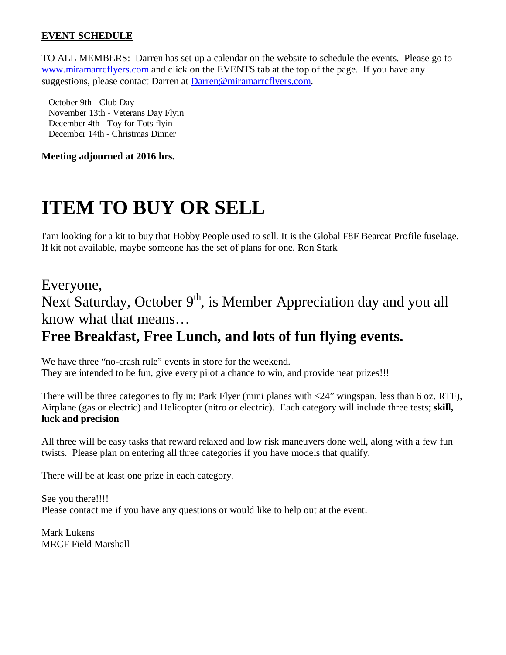## **EVENT SCHEDULE**

TO ALL MEMBERS: Darren has set up a calendar on the website to schedule the events. Please go to www.miramarrcflyers.com and click on the EVENTS tab at the top of the page. If you have any suggestions, please contact Darren at Darren@miramarrcflyers.com.

 October 9th - Club Day November 13th - Veterans Day Flyin December 4th - Toy for Tots flyin December 14th - Christmas Dinner

**Meeting adjourned at 2016 hrs.** 

# **ITEM TO BUY OR SELL**

I'am looking for a kit to buy that Hobby People used to sell. It is the Global F8F Bearcat Profile fuselage. If kit not available, maybe someone has the set of plans for one. Ron Stark

# Everyone, Next Saturday, October  $9<sup>th</sup>$ , is Member Appreciation day and you all know what that means… **Free Breakfast, Free Lunch, and lots of fun flying events.**

We have three "no-crash rule" events in store for the weekend. They are intended to be fun, give every pilot a chance to win, and provide neat prizes!!!

There will be three categories to fly in: Park Flyer (mini planes with  $\langle 24$ " wingspan, less than 6 oz. RTF), Airplane (gas or electric) and Helicopter (nitro or electric). Each category will include three tests; **skill, luck and precision**

All three will be easy tasks that reward relaxed and low risk maneuvers done well, along with a few fun twists. Please plan on entering all three categories if you have models that qualify.

There will be at least one prize in each category.

See you there!!!! Please contact me if you have any questions or would like to help out at the event.

Mark Lukens MRCF Field Marshall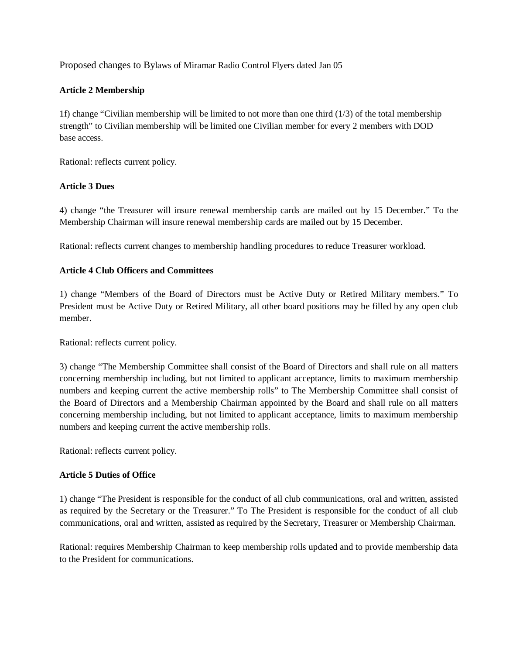Proposed changes to Bylaws of Miramar Radio Control Flyers dated Jan 05

## **Article 2 Membership**

1f) change "Civilian membership will be limited to not more than one third (1/3) of the total membership strength" to Civilian membership will be limited one Civilian member for every 2 members with DOD base access.

Rational: reflects current policy.

## **Article 3 Dues**

4) change "the Treasurer will insure renewal membership cards are mailed out by 15 December." To the Membership Chairman will insure renewal membership cards are mailed out by 15 December.

Rational: reflects current changes to membership handling procedures to reduce Treasurer workload.

## **Article 4 Club Officers and Committees**

1) change "Members of the Board of Directors must be Active Duty or Retired Military members." To President must be Active Duty or Retired Military, all other board positions may be filled by any open club member.

Rational: reflects current policy.

3) change "The Membership Committee shall consist of the Board of Directors and shall rule on all matters concerning membership including, but not limited to applicant acceptance, limits to maximum membership numbers and keeping current the active membership rolls" to The Membership Committee shall consist of the Board of Directors and a Membership Chairman appointed by the Board and shall rule on all matters concerning membership including, but not limited to applicant acceptance, limits to maximum membership numbers and keeping current the active membership rolls.

Rational: reflects current policy.

## **Article 5 Duties of Office**

1) change "The President is responsible for the conduct of all club communications, oral and written, assisted as required by the Secretary or the Treasurer." To The President is responsible for the conduct of all club communications, oral and written, assisted as required by the Secretary, Treasurer or Membership Chairman.

Rational: requires Membership Chairman to keep membership rolls updated and to provide membership data to the President for communications.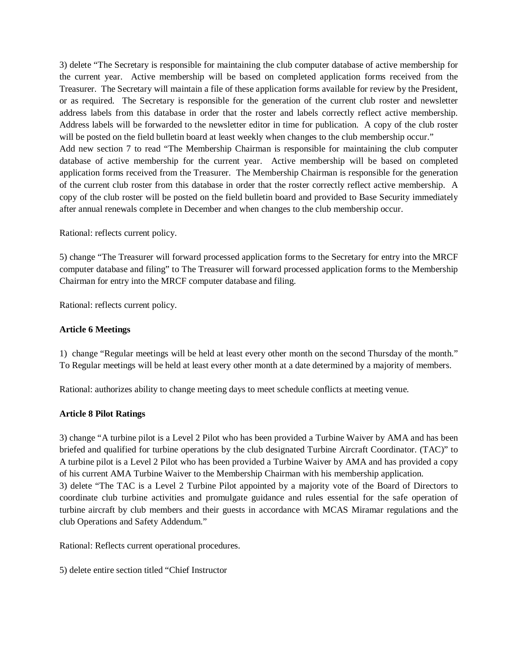3) delete "The Secretary is responsible for maintaining the club computer database of active membership for the current year. Active membership will be based on completed application forms received from the Treasurer. The Secretary will maintain a file of these application forms available for review by the President, or as required. The Secretary is responsible for the generation of the current club roster and newsletter address labels from this database in order that the roster and labels correctly reflect active membership. Address labels will be forwarded to the newsletter editor in time for publication. A copy of the club roster will be posted on the field bulletin board at least weekly when changes to the club membership occur." Add new section 7 to read "The Membership Chairman is responsible for maintaining the club computer database of active membership for the current year. Active membership will be based on completed application forms received from the Treasurer. The Membership Chairman is responsible for the generation of the current club roster from this database in order that the roster correctly reflect active membership. A copy of the club roster will be posted on the field bulletin board and provided to Base Security immediately after annual renewals complete in December and when changes to the club membership occur.

Rational: reflects current policy.

5) change "The Treasurer will forward processed application forms to the Secretary for entry into the MRCF computer database and filing" to The Treasurer will forward processed application forms to the Membership Chairman for entry into the MRCF computer database and filing.

Rational: reflects current policy.

#### **Article 6 Meetings**

1) change "Regular meetings will be held at least every other month on the second Thursday of the month." To Regular meetings will be held at least every other month at a date determined by a majority of members.

Rational: authorizes ability to change meeting days to meet schedule conflicts at meeting venue.

#### **Article 8 Pilot Ratings**

3) change "A turbine pilot is a Level 2 Pilot who has been provided a Turbine Waiver by AMA and has been briefed and qualified for turbine operations by the club designated Turbine Aircraft Coordinator. (TAC)" to A turbine pilot is a Level 2 Pilot who has been provided a Turbine Waiver by AMA and has provided a copy of his current AMA Turbine Waiver to the Membership Chairman with his membership application. 3) delete "The TAC is a Level 2 Turbine Pilot appointed by a majority vote of the Board of Directors to coordinate club turbine activities and promulgate guidance and rules essential for the safe operation of turbine aircraft by club members and their guests in accordance with MCAS Miramar regulations and the club Operations and Safety Addendum."

Rational: Reflects current operational procedures.

5) delete entire section titled "Chief Instructor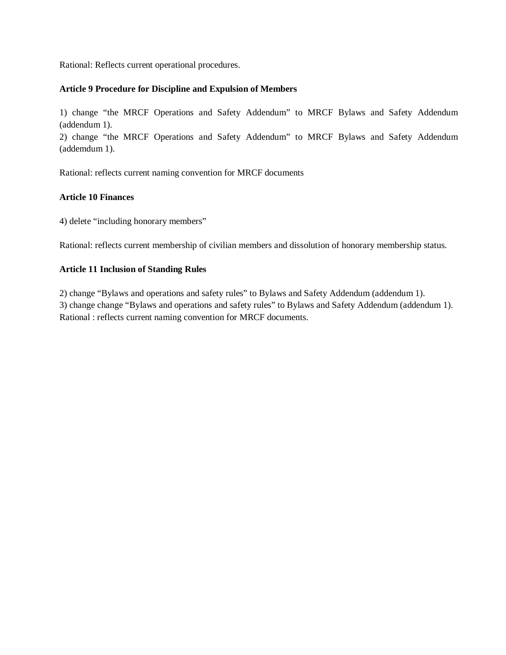Rational: Reflects current operational procedures.

#### **Article 9 Procedure for Discipline and Expulsion of Members**

1) change "the MRCF Operations and Safety Addendum" to MRCF Bylaws and Safety Addendum (addendum 1).

2) change "the MRCF Operations and Safety Addendum" to MRCF Bylaws and Safety Addendum (addemdum 1).

Rational: reflects current naming convention for MRCF documents

## **Article 10 Finances**

4) delete "including honorary members"

Rational: reflects current membership of civilian members and dissolution of honorary membership status.

#### **Article 11 Inclusion of Standing Rules**

2) change "Bylaws and operations and safety rules" to Bylaws and Safety Addendum (addendum 1). 3) change change "Bylaws and operations and safety rules" to Bylaws and Safety Addendum (addendum 1). Rational : reflects current naming convention for MRCF documents.